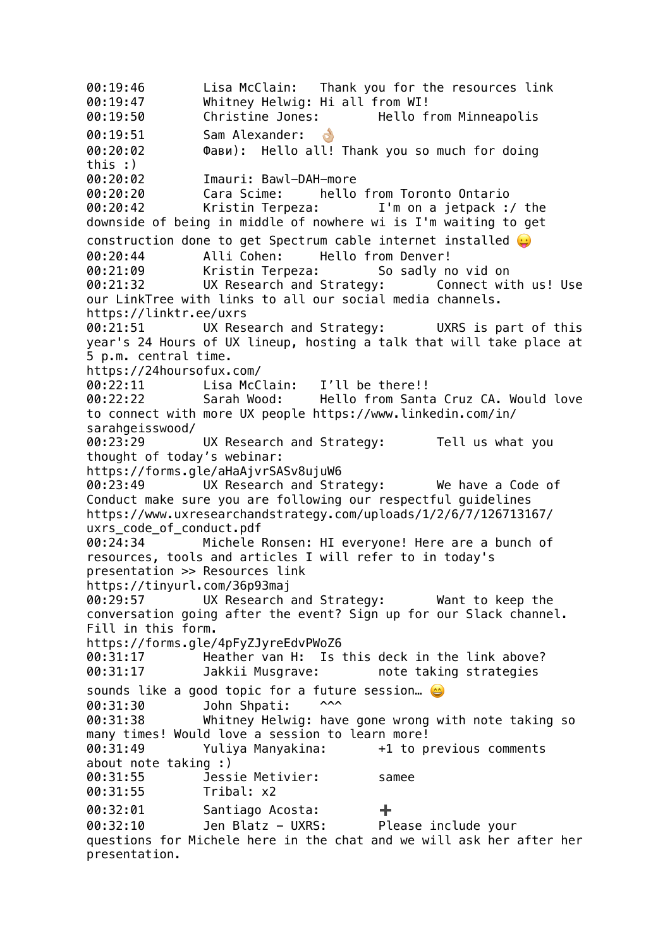00:19:46 Lisa McClain: Thank you for the resources link 00:19:47 Whitney Helwig: Hi all from WI! 00:19:50 Christine Jones: Hello from Minneapolis 00:19:51 Sam Alexander: 8 00:20:02 Фави): Hello all! Thank you so much for doing this :) 00:20:02 Imauri: Bawl-DAH-more 00:20:20 Cara Scime: hello from Toronto Ontario 00:20:42 Kristin Terpeza: I'm on a jetpack :/ the downside of being in middle of nowhere wi is I'm waiting to get construction done to get Spectrum cable internet installed  $\Theta$ 00:20:44 Alli Cohen: Hello from Denver! 00:21:09 Kristin Terpeza: So sadly no vid on 00:21:32 UX Research and Strategy: Connect with us! Use our LinkTree with links to all our social media channels. https://linktr.ee/uxrs 00:21:51 UX Research and Strategy: UXRS is part of this year's 24 Hours of UX lineup, hosting a talk that will take place at 5 p.m. central time. https://24hoursofux.com/ 00:22:11 Lisa McClain: I'll be there!! 00:22:22 Sarah Wood: Hello from Santa Cruz CA. Would love to connect with more UX people https://www.linkedin.com/in/ sarahgeisswood/ 00:23:29 UX Research and Strategy: Tell us what you thought of today's webinar: https://forms.gle/aHaAjvrSASv8ujuW6 00:23:49 UX Research and Strategy: We have a Code of Conduct make sure you are following our respectful guidelines https://www.uxresearchandstrategy.com/uploads/1/2/6/7/126713167/ uxrs code of conduct.pdf 00:24:34 Michele Ronsen: HI everyone! Here are a bunch of resources, tools and articles I will refer to in today's presentation >> Resources link https://tinyurl.com/36p93maj 00:29:57 UX Research and Strategy: Want to keep the conversation going after the event? Sign up for our Slack channel. Fill in this form. https://forms.gle/4pFyZJyreEdvPWoZ6 00:31:17 Heather van H: Is this deck in the link above? 00:31:17 Jakkii Musgrave: note taking strategies sounds like a good topic for a future session... 00:31:30 John Shpati: ^^^ 00:31:38 Whitney Helwig: have gone wrong with note taking so many times! Would love a session to learn more! 00:31:49 Yuliya Manyakina: +1 to previous comments about note taking :) 00:31:55 Jessie Metivier: samee 00:31:55 Tribal: x2 00:32:01 Santiago Acosta: ÷ 00:32:10 Jen Blatz - UXRS: Please include your questions for Michele here in the chat and we will ask her after her presentation.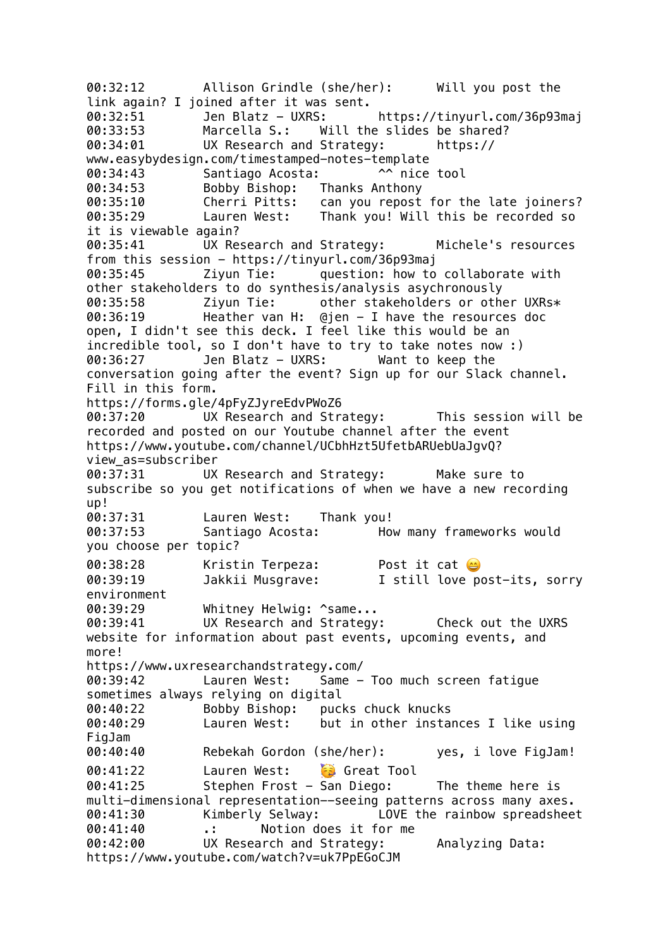00:32:12 Allison Grindle (she/her): Will you post the link again? I joined after it was sent. 00:32:51 Jen Blatz - UXRS: https://tinyurl.com/36p93maj 00:33:53 Marcella S.: Will the slides be shared? 00:34:01 UX Research and Strategy: https:// www.easybydesign.com/timestamped-notes-template 00:34:43 Santiago Acosta: ^^ nice tool 00:34:53 Bobby Bishop: Thanks Anthony 00:35:10 Cherri Pitts: can you repost for the late joiners? 00:35:29 Lauren West: Thank you! Will this be recorded so it is viewable again? 00:35:41 UX Research and Strategy: Michele's resources from this session - https://tinyurl.com/36p93maj 00:35:45 Ziyun Tie: question: how to collaborate with other stakeholders to do synthesis/analysis asychronously 00:35:58 Ziyun Tie: other stakeholders or other UXRs\* 00:36:19 Heather van H: @jen - I have the resources doc open, I didn't see this deck. I feel like this would be an incredible tool, so I don't have to try to take notes now :) 00:36:27 Jen Blatz - UXRS: Want to keep the conversation going after the event? Sign up for our Slack channel. Fill in this form. https://forms.gle/4pFyZJyreEdvPWoZ6 00:37:20 UX Research and Strategy: This session will be recorded and posted on our Youtube channel after the event https://www.youtube.com/channel/UCbhHzt5UfetbARUebUaJgvQ? view\_as=subscriber 00:37:31 UX Research and Strategy: Make sure to subscribe so you get notifications of when we have a new recording up! 00:37:31 Lauren West: Thank you! 00:37:53 Santiago Acosta: How many frameworks would you choose per topic? 00:38:28 Kristin Terpeza: Post it cat 00:39:19 Jakkii Musgrave: I still love post-its, sorry environment 00:39:29 Whitney Helwig: ^same... 00:39:41 UX Research and Strategy: Check out the UXRS website for information about past events, upcoming events, and more! https://www.uxresearchandstrategy.com/ 00:39:42 Lauren West: Same - Too much screen fatigue sometimes always relying on digital 00:40:22 Bobby Bishop: pucks chuck knucks 00:40:29 Lauren West: but in other instances I like using FigJam 00:40:40 Rebekah Gordon (she/her): yes, i love FigJam! 00:41:22 Lauren West: **Great Tool** 00:41:25 Stephen Frost - San Diego: The theme here is multi-dimensional representation--seeing patterns across many axes. 00:41:30 Kimberly Selway: LOVE the rainbow spreadsheet<br>00:41:40 .: Notion does it for me 00:41:40 .: Notion does it for me 00:42:00 UX Research and Strategy: Analyzing Data: https://www.youtube.com/watch?v=uk7PpEGoCJM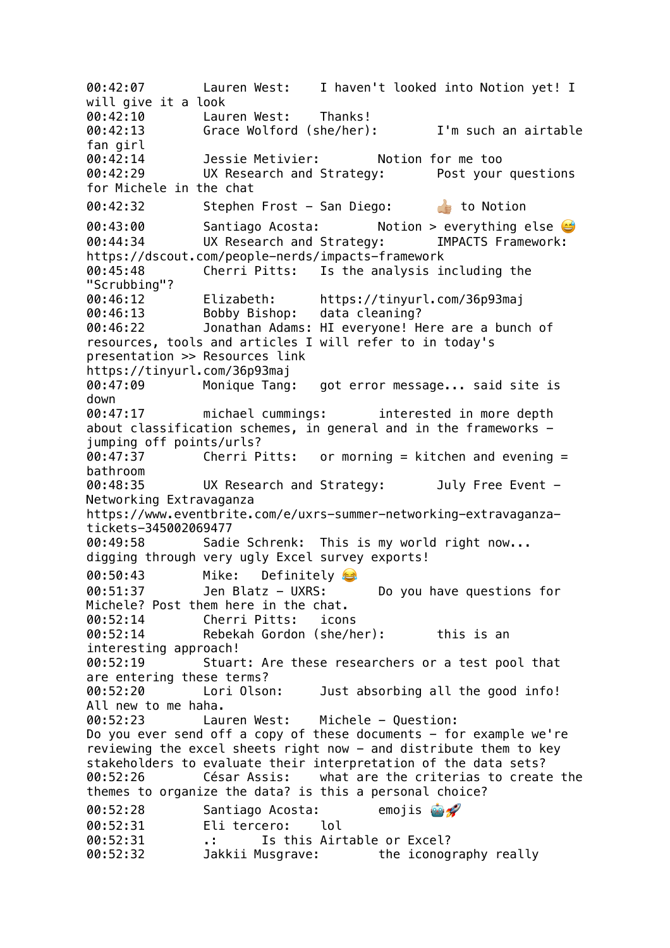00:42:07 Lauren West: I haven't looked into Notion yet! I will give it a look 00:42:10 Lauren West: Thanks! 00:42:13 Grace Wolford (she/her): I'm such an airtable fan girl 00:42:14 Jessie Metivier: Notion for me too 00:42:29 UX Research and Strategy: Post your questions for Michele in the chat 00:42:32 Stephen Frost - San Diego: **to Notion** 00:43:00 Santiago Acosta: Notion > everything else 00:44:34 UX Research and Strategy: IMPACTS Framework: https://dscout.com/people-nerds/impacts-framework 00:45:48 Cherri Pitts: Is the analysis including the "Scrubbing"? 00:46:12 Elizabeth: https://tinyurl.com/36p93maj 00:46:13 Bobby Bishop: data cleaning? 00:46:22 Jonathan Adams: HI everyone! Here are a bunch of resources, tools and articles I will refer to in today's presentation >> Resources link https://tinyurl.com/36p93maj 00:47:09 Monique Tang: got error message... said site is down 00:47:17 michael cummings: interested in more depth about classification schemes, in general and in the frameworks  $$ jumping off points/urls? 00:47:37 Cherri Pitts: or morning = kitchen and evening = bathroom 00:48:35 UX Research and Strategy: July Free Event - Networking Extravaganza https://www.eventbrite.com/e/uxrs-summer-networking-extravaganzatickets-345002069477 00:49:58 Sadie Schrenk: This is my world right now... digging through very ugly Excel survey exports! 00:50:43 Mike: Definitely 00:51:37 Jen Blatz - UXRS: Do you have questions for Michele? Post them here in the chat. 00:52:14 Cherri Pitts: icons 00:52:14 Rebekah Gordon (she/her): this is an interesting approach! 00:52:19 Stuart: Are these researchers or a test pool that are entering these terms? 00:52:20 Lori Olson: Just absorbing all the good info! All new to me haha. 00:52:23 Lauren West: Michele - Question: Do you ever send off a copy of these documents  $-$  for example we're reviewing the excel sheets right now - and distribute them to key stakeholders to evaluate their interpretation of the data sets? 00:52:26 César Assis: what are the criterias to create the themes to organize the data? is this a personal choice? 00:52:28 Santiago Acosta: emojis 00:52:31 Eli tercero: lol 00:52:31 .: Is this Airtable or Excel? 00:52:32 Jakkii Musgrave: the iconography really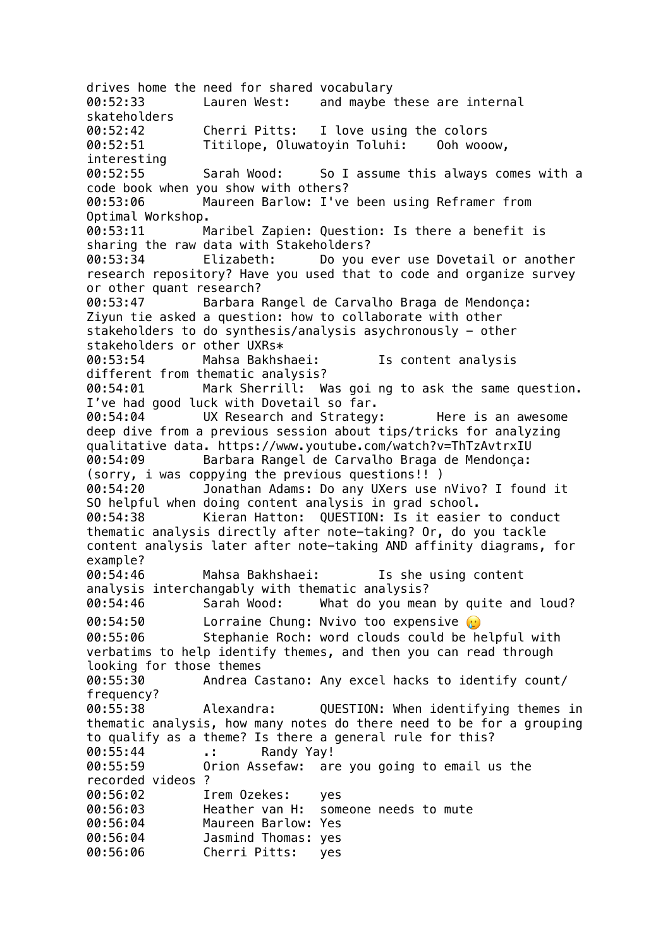drives home the need for shared vocabulary 00:52:33 Lauren West: and maybe these are internal skateholders 00:52:42 Cherri Pitts: I love using the colors 00:52:51 Titilope, Oluwatoyin Toluhi: Ooh wooow, interesting 00:52:55 Sarah Wood: So I assume this always comes with a code book when you show with others? 00:53:06 Maureen Barlow: I've been using Reframer from Optimal Workshop. 00:53:11 Maribel Zapien: Question: Is there a benefit is sharing the raw data with Stakeholders? 00:53:34 Elizabeth: Do you ever use Dovetail or another research repository? Have you used that to code and organize survey or other quant research? 00:53:47 Barbara Rangel de Carvalho Braga de Mendonça: Ziyun tie asked a question: how to collaborate with other stakeholders to do synthesis/analysis asychronously - other stakeholders or other UXRs\* 00:53:54 Mahsa Bakhshaei: Is content analysis different from thematic analysis? 00:54:01 Mark Sherrill: Was goi ng to ask the same question. I've had good luck with Dovetail so far. 00:54:04 UX Research and Strategy: Here is an awesome deep dive from a previous session about tips/tricks for analyzing qualitative data. https://www.youtube.com/watch?v=ThTzAvtrxIU 00:54:09 Barbara Rangel de Carvalho Braga de Mendonça: (sorry, i was coppying the previous questions!! ) 00:54:20 Jonathan Adams: Do any UXers use nVivo? I found it SO helpful when doing content analysis in grad school. 00:54:38 Kieran Hatton: QUESTION: Is it easier to conduct thematic analysis directly after note-taking? Or, do you tackle content analysis later after note-taking AND affinity diagrams, for example? 00:54:46 Mahsa Bakhshaei: Is she using content analysis interchangably with thematic analysis? 00:54:46 Sarah Wood: What do you mean by quite and loud? 00:54:50 Lorraine Chung: Nvivo too expensive  $\omega$ 00:55:06 Stephanie Roch: word clouds could be helpful with verbatims to help identify themes, and then you can read through looking for those themes 00:55:30 Andrea Castano: Any excel hacks to identify count/ frequency? 00:55:38 Alexandra: QUESTION: When identifying themes in thematic analysis, how many notes do there need to be for a grouping to qualify as a theme? Is there a general rule for this? 00:55:44 .: Randy Yay! 00:55:59 Orion Assefaw: are you going to email us the recorded videos ? 00:56:02 Irem Ozekes: yes 00:56:03 Heather van H: someone needs to mute 00:56:04 Maureen Barlow: Yes 00:56:04 Jasmind Thomas: yes 00:56:06 Cherri Pitts: yes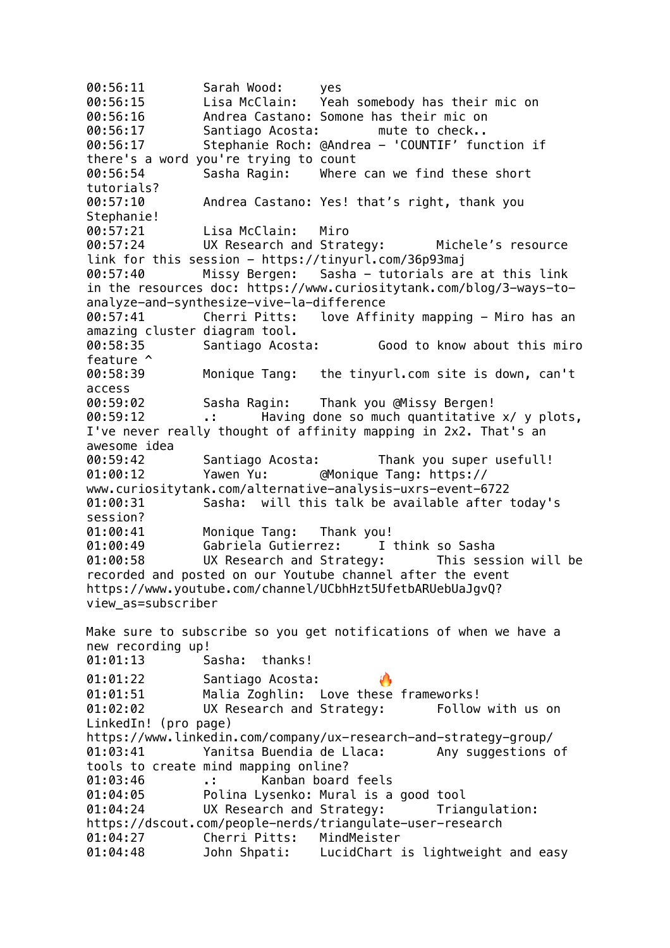00:56:11 Sarah Wood: yes 00:56:15 Lisa McClain: Yeah somebody has their mic on 00:56:16 Andrea Castano: Somone has their mic on 00:56:17 Santiago Acosta: mute to check.. 00:56:17 Stephanie Roch: @Andrea - 'COUNTIF' function if there's a word you're trying to count 00:56:54 Sasha Ragin: Where can we find these short tutorials? 00:57:10 Andrea Castano: Yes! that's right, thank you Stephanie! 00:57:21 Lisa McClain: Miro 00:57:24 UX Research and Strategy: Michele's resource link for this session - https://tinyurl.com/36p93maj 00:57:40 Missy Bergen: Sasha - tutorials are at this link in the resources doc: https://www.curiositytank.com/blog/3-ways-toanalyze-and-synthesize-vive-la-difference 00:57:41 Cherri Pitts: love Affinity mapping - Miro has an amazing cluster diagram tool. 00:58:35 Santiago Acosta: Good to know about this miro feature ^ 00:58:39 Monique Tang: the tinyurl.com site is down, can't access 00:59:02 Sasha Ragin: Thank you @Missy Bergen! 00:59:12 .: Having done so much quantitative x/ y plots, I've never really thought of affinity mapping in 2x2. That's an awesome idea 00:59:42 Santiago Acosta: Thank you super usefull! 01:00:12 Yawen Yu: @Monique Tang: https:// www.curiositytank.com/alternative-analysis-uxrs-event-6722 01:00:31 Sasha: will this talk be available after today's session? 01:00:41 Monique Tang: Thank you! 01:00:49 Gabriela Gutierrez: I think so Sasha 01:00:58 UX Research and Strategy: This session will be recorded and posted on our Youtube channel after the event https://www.youtube.com/channel/UCbhHzt5UfetbARUebUaJgvQ? view\_as=subscriber Make sure to subscribe so you get notifications of when we have a new recording up! 01:01:13 Sasha: thanks! 01:01:22 Santiago Acosta: 01:01:51 Malia Zoghlin: Love these frameworks! 01:02:02 UX Research and Strategy: Follow with us on LinkedIn! (pro page) https://www.linkedin.com/company/ux-research-and-strategy-group/ 01:03:41 Yanitsa Buendia de Llaca: Any suggestions of tools to create mind mapping online? 01:03:46 .: Kanban board feels 01:04:05 Polina Lysenko: Mural is a good tool 01:04:24 UX Research and Strategy: Triangulation: https://dscout.com/people-nerds/triangulate-user-research 01:04:27 Cherri Pitts: MindMeister 01:04:48 John Shpati: LucidChart is lightweight and easy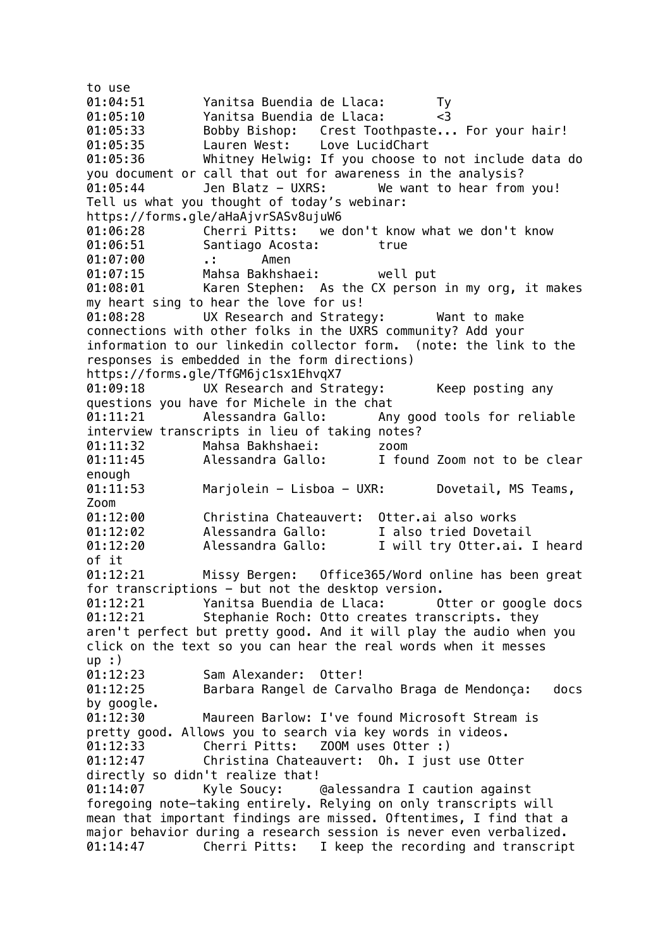to use 01:04:51 Yanitsa Buendia de Llaca: Ty 01:05:10 Yanitsa Buendia de Llaca: <3 01:05:33 Bobby Bishop: Crest Toothpaste... For your hair! 01:05:35 Lauren West: Love LucidChart 01:05:36 Whitney Helwig: If you choose to not include data do you document or call that out for awareness in the analysis? 01:05:44 Jen Blatz - UXRS: We want to hear from you! Tell us what you thought of today's webinar: https://forms.gle/aHaAjvrSASv8ujuW6 01:06:28 Cherri Pitts: we don't know what we don't know 01:06:51 Santiago Acosta: true 01:07:00 .: Amen 01:07:15 Mahsa Bakhshaei: well put 01:08:01 Karen Stephen: As the CX person in my org, it makes my heart sing to hear the love for us! 01:08:28 UX Research and Strategy: Want to make connections with other folks in the UXRS community? Add your information to our linkedin collector form. (note: the link to the responses is embedded in the form directions) https://forms.gle/TfGM6jc1sx1EhvqX7 01:09:18 UX Research and Strategy: Keep posting any questions you have for Michele in the chat 01:11:21 Alessandra Gallo: Any good tools for reliable interview transcripts in lieu of taking notes? 01:11:32 Mahsa Bakhshaei: zoom 01:11:45 Alessandra Gallo: I found Zoom not to be clear enough 01:11:53 Marjolein - Lisboa - UXR: Dovetail, MS Teams, Zoom 01:12:00 Christina Chateauvert: Otter.ai also works 01:12:02 Alessandra Gallo: I also tried Dovetail 01:12:20 Alessandra Gallo: I will try Otter.ai. I heard of it 01:12:21 Missy Bergen: Office365/Word online has been great for transcriptions - but not the desktop version. 01:12:21 Yanitsa Buendia de Llaca: Otter or google docs 01:12:21 Stephanie Roch: Otto creates transcripts. they aren't perfect but pretty good. And it will play the audio when you click on the text so you can hear the real words when it messes up :) 01:12:23 Sam Alexander: Otter! 01:12:25 Barbara Rangel de Carvalho Braga de Mendonça: docs by google. 01:12:30 Maureen Barlow: I've found Microsoft Stream is pretty good. Allows you to search via key words in videos. 01:12:33 Cherri Pitts: ZOOM uses Otter :) 01:12:47 Christina Chateauvert: Oh. I just use Otter directly so didn't realize that! 01:14:07 Kyle Soucy: @alessandra I caution against foregoing note-taking entirely. Relying on only transcripts will mean that important findings are missed. Oftentimes, I find that a major behavior during a research session is never even verbalized. 01:14:47 Cherri Pitts: I keep the recording and transcript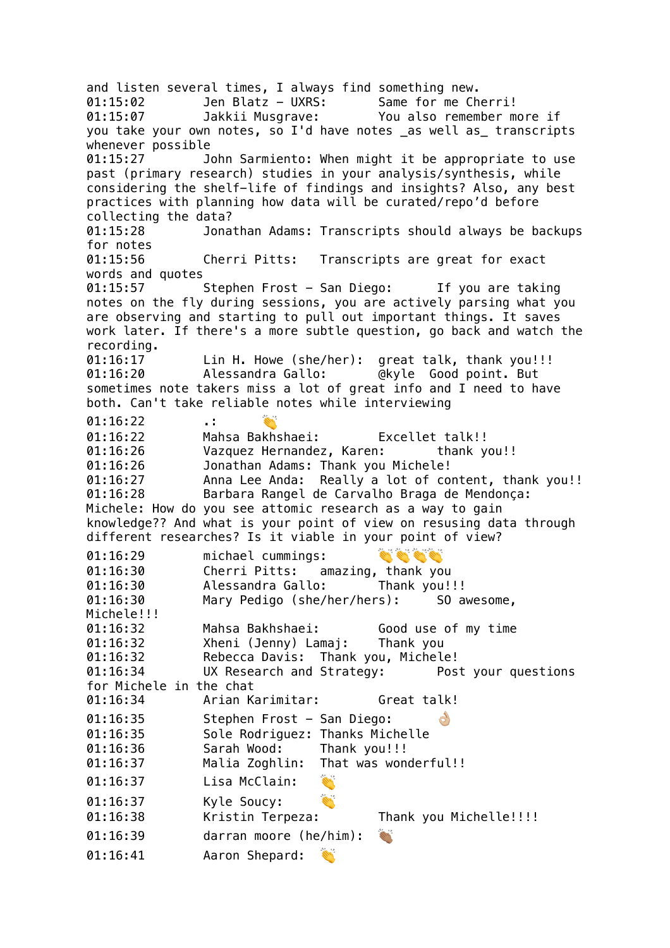and listen several times, I always find something new. 01:15:02 Jen Blatz - UXRS: Same for me Cherri! 01:15:07 Jakkii Musgrave: You also remember more if you take your own notes, so I'd have notes as well as transcripts whenever possible 01:15:27 John Sarmiento: When might it be appropriate to use past (primary research) studies in your analysis/synthesis, while considering the shelf-life of findings and insights? Also, any best practices with planning how data will be curated/repo'd before collecting the data? 01:15:28 Jonathan Adams: Transcripts should always be backups for notes 01:15:56 Cherri Pitts: Transcripts are great for exact words and quotes 01:15:57 Stephen Frost - San Diego: If you are taking notes on the fly during sessions, you are actively parsing what you are observing and starting to pull out important things. It saves work later. If there's a more subtle question, go back and watch the recording. 01:16:17 Lin H. Howe (she/her): great talk, thank you!!! 01:16:20 Alessandra Gallo: @kyle Good point. But sometimes note takers miss a lot of great info and I need to have both. Can't take reliable notes while interviewing 01:16:22 .: 01:16:22 Mahsa Bakhshaei: Excellet talk!! 01:16:26 Vazquez Hernandez, Karen: thank you!! 01:16:26 Jonathan Adams: Thank you Michele! 01:16:27 Anna Lee Anda: Really a lot of content, thank you!! 01:16:28 Barbara Rangel de Carvalho Braga de Mendonça: Michele: How do you see attomic research as a way to gain knowledge?? And what is your point of view on resusing data through different researches? Is it viable in your point of view? En Gri Gri Gri 01:16:29 michael cummings: 01:16:30 Cherri Pitts: amazing, thank you 01:16:30 Alessandra Gallo: Thank you!!! 01:16:30 Mary Pedigo (she/her/hers): SO awesome, Michele!!! 01:16:32 Mahsa Bakhshaei: Good use of my time 01:16:32 Xheni (Jenny) Lamaj: Thank you 01:16:32 Rebecca Davis: Thank you, Michele! 01:16:34 UX Research and Strategy: Post your questions for Michele in the chat 01:16:34 Arian Karimitar: Great talk! 01:16:35 Stephen Frost - San Diego:  $\mathcal{C}$ 01:16:35 Sole Rodriguez: Thanks Michelle 01:16:36 Sarah Wood: Thank you!!! 01:16:37 Malia Zoghlin: That was wonderful!! 01:16:37 Lisa McClain: 01:16:37 Kyle Soucy: 01:16:38 Kristin Terpeza: Thank you Michelle!!!! 01:16:39 darran moore (he/him): **SARA** 01:16:41 Aaron Shepard: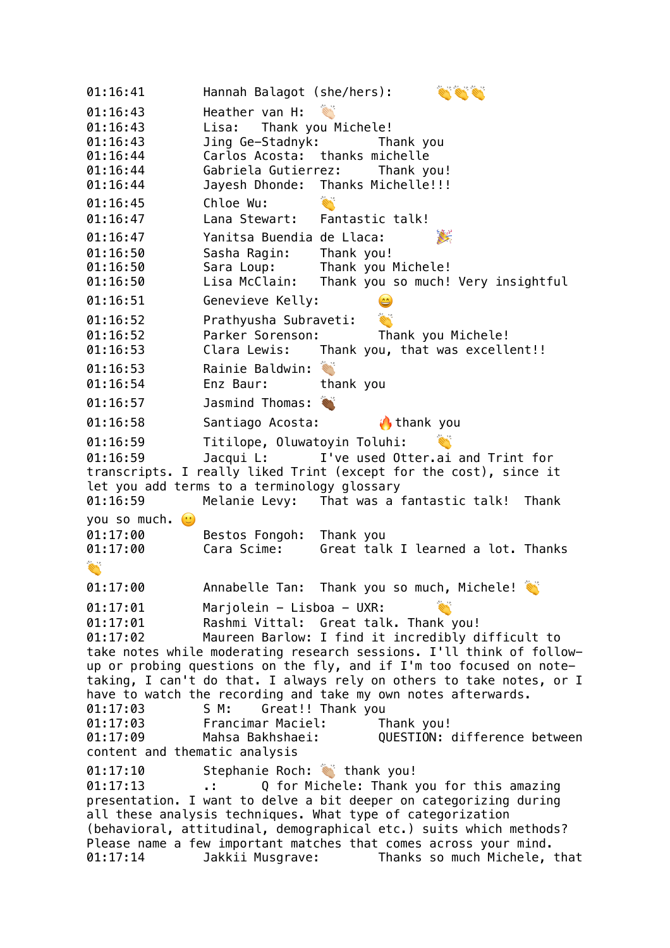01:16:41 Hannah Balagot (she/hers): 01:16:43 Heather van H: 01:16:43 Lisa: Thank you Michele! 01:16:43 Jing Ge-Stadnyk: Thank you 01:16:44 Carlos Acosta: thanks michelle 01:16:44 Gabriela Gutierrez: Thank you! 01:16:44 Jayesh Dhonde: Thanks Michelle!!! 01:16:45 Chloe Wu: 01:16:47 Lana Stewart: Fantastic talk! 01:16:47 Yanitsa Buendia de Llaca: 01:16:50 Sasha Ragin: Thank you! 01:16:50 Sara Loup: Thank you Michele! 01:16:50 Lisa McClain: Thank you so much! Very insightful 01:16:51 Genevieve Kelly: **RAY** 01:16:52 Prathyusha Subraveti: 01:16:52 Parker Sorenson: Thank you Michele! 01:16:53 Clara Lewis: Thank you, that was excellent!! 01:16:53 Rainie Baldwin: 01:16:54 Enz Baur: thank you 01:16:57 Jasmind Thomas: 01:16:58 Santiago Acosta: thank you 01:16:59 Titilope, Oluwatoyin Toluhi: 01:16:59 Jacqui L: I've used Otter.ai and Trint for transcripts. I really liked Trint (except for the cost), since it let you add terms to a terminology glossary 01:16:59 Melanie Levy: That was a fantastic talk! Thank you so much.  $\odot$ 01:17:00 Bestos Fongoh: Thank you 01:17:00 Cara Scime: Great talk I learned a lot. Thanks **RA** 01:17:00 Annabelle Tan: Thank you so much, Michele! 01:17:01 Marjolein - Lisboa - UXR: 01:17:01 Rashmi Vittal: Great talk. Thank you! 01:17:02 Maureen Barlow: I find it incredibly difficult to take notes while moderating research sessions. I'll think of followup or probing questions on the fly, and if I'm too focused on notetaking, I can't do that. I always rely on others to take notes, or I have to watch the recording and take my own notes afterwards. 01:17:03 S M: Great!! Thank you 01:17:03 Francimar Maciel: Thank you! 01:17:09 Mahsa Bakhshaei: QUESTION: difference between content and thematic analysis 01:17:10 Stephanie Roch: withank you! 01:17:13 .: Q for Michele: Thank you for this amazing presentation. I want to delve a bit deeper on categorizing during all these analysis techniques. What type of categorization (behavioral, attitudinal, demographical etc.) suits which methods? Please name a few important matches that comes across your mind. 01:17:14 Jakkii Musgrave: Thanks so much Michele, that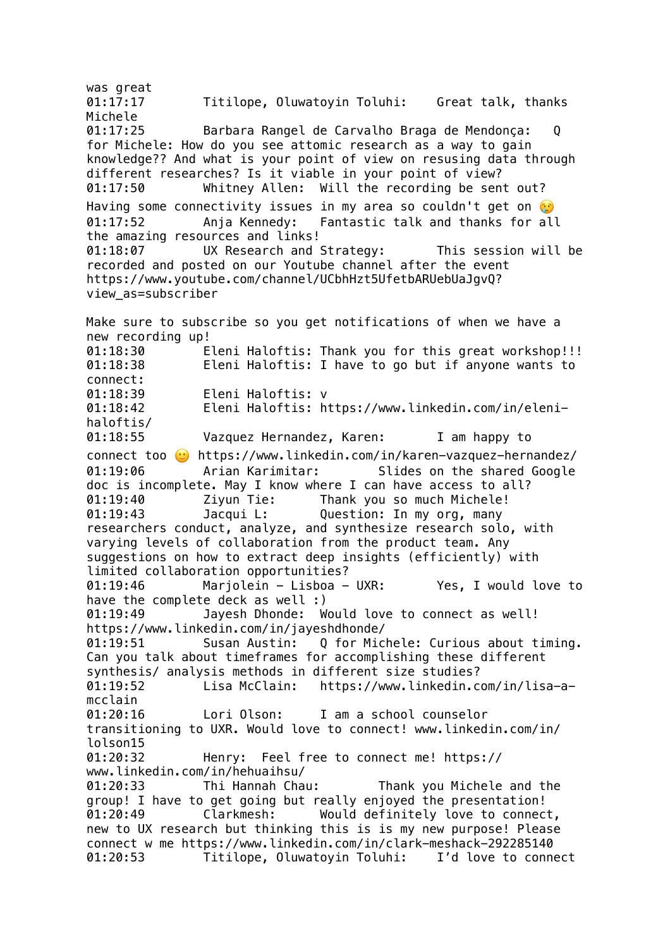was great 01:17:17 Titilope, Oluwatoyin Toluhi: Great talk, thanks Michele 01:17:25 Barbara Rangel de Carvalho Braga de Mendonça: Q for Michele: How do you see attomic research as a way to gain knowledge?? And what is your point of view on resusing data through different researches? Is it viable in your point of view? 01:17:50 Whitney Allen: Will the recording be sent out? Having some connectivity issues in my area so couldn't get on  $\odot$ 01:17:52 Anja Kennedy: Fantastic talk and thanks for all the amazing resources and links! 01:18:07 UX Research and Strategy: This session will be recorded and posted on our Youtube channel after the event https://www.youtube.com/channel/UCbhHzt5UfetbARUebUaJgvQ? view\_as=subscriber Make sure to subscribe so you get notifications of when we have a new recording up! 01:18:30 Eleni Haloftis: Thank you for this great workshop!!! 01:18:38 Eleni Haloftis: I have to go but if anyone wants to connect: 01:18:39 Eleni Haloftis: v 01:18:42 Eleni Haloftis: https://www.linkedin.com/in/elenihaloftis/ 01:18:55 Vazquez Hernandez, Karen: I am happy to connect too  $\heartsuit$  https://www.linkedin.com/in/karen-vazquez-hernandez/ 01:19:06 Arian Karimitar: Slides on the shared Google doc is incomplete. May I know where I can have access to all? 01:19:40 Ziyun Tie: Thank you so much Michele! 01:19:43 Jacqui L: Question: In my org, many researchers conduct, analyze, and synthesize research solo, with varying levels of collaboration from the product team. Any suggestions on how to extract deep insights (efficiently) with limited collaboration opportunities? 01:19:46 Marjolein - Lisboa - UXR: Yes, I would love to have the complete deck as well :) 01:19:49 Jayesh Dhonde: Would love to connect as well! https://www.linkedin.com/in/jayeshdhonde/ 01:19:51 Susan Austin: Q for Michele: Curious about timing. Can you talk about timeframes for accomplishing these different synthesis/ analysis methods in different size studies? 01:19:52 Lisa McClain: https://www.linkedin.com/in/lisa-amcclain 01:20:16 Lori Olson: I am a school counselor transitioning to UXR. Would love to connect! www.linkedin.com/in/ lolson15<br>01:20:32 Henry: Feel free to connect me! https:// www.linkedin.com/in/hehuaihsu/ 01:20:33 Thi Hannah Chau: Thank you Michele and the group! I have to get going but really enjoyed the presentation! 01:20:49 Clarkmesh: Would definitely love to connect, new to UX research but thinking this is is my new purpose! Please connect w me https://www.linkedin.com/in/clark-meshack-292285140 01:20:53 Titilope, Oluwatoyin Toluhi: I'd love to connect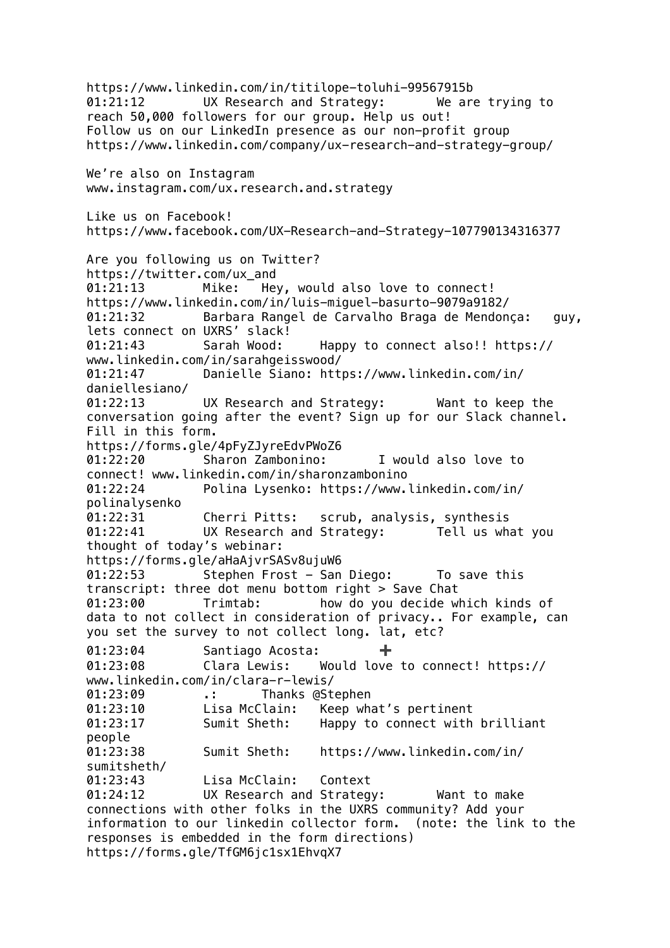https://www.linkedin.com/in/titilope-toluhi-99567915b 01:21:12 UX Research and Strategy: We are trying to reach 50,000 followers for our group. Help us out! Follow us on our LinkedIn presence as our non-profit group https://www.linkedin.com/company/ux-research-and-strategy-group/ We're also on Instagram www.instagram.com/ux.research.and.strategy Like us on Facebook! https://www.facebook.com/UX-Research-and-Strategy-107790134316377 Are you following us on Twitter? https://twitter.com/ux\_and 01:21:13 Mike: Hey, would also love to connect! https://www.linkedin.com/in/luis-miguel-basurto-9079a9182/ 01:21:32 Barbara Rangel de Carvalho Braga de Mendonça: guy, lets connect on UXRS' slack! 01:21:43 Sarah Wood: Happy to connect also!! https:// www.linkedin.com/in/sarahgeisswood/ 01:21:47 Danielle Siano: https://www.linkedin.com/in/ daniellesiano/ 01:22:13 UX Research and Strategy: Want to keep the conversation going after the event? Sign up for our Slack channel. Fill in this form. https://forms.gle/4pFyZJyreEdvPWoZ6 01:22:20 Sharon Zambonino: I would also love to connect! www.linkedin.com/in/sharonzambonino 01:22:24 Polina Lysenko: https://www.linkedin.com/in/ polinalysenko 01:22:31 Cherri Pitts: scrub, analysis, synthesis 01:22:41 UX Research and Strategy: Tell us what you thought of today's webinar: https://forms.gle/aHaAjvrSASv8ujuW6 01:22:53 Stephen Frost - San Diego: To save this transcript: three dot menu bottom right > Save Chat 01:23:00 Trimtab: how do you decide which kinds of data to not collect in consideration of privacy.. For example, can you set the survey to not collect long. lat, etc? 01:23:04 Santiago Acosta: 01:23:08 Clara Lewis: Would love to connect! https:// www.linkedin.com/in/clara-r-lewis/ 01:23:09 .: Thanks @Stephen 01:23:10 Lisa McClain: Keep what's pertinent 01:23:17 Sumit Sheth: Happy to connect with brilliant people 01:23:38 Sumit Sheth: https://www.linkedin.com/in/ sumitsheth/ 01:23:43 Lisa McClain: Context 01:24:12 UX Research and Strategy: Want to make connections with other folks in the UXRS community? Add your information to our linkedin collector form. (note: the link to the responses is embedded in the form directions) https://forms.gle/TfGM6jc1sx1EhvqX7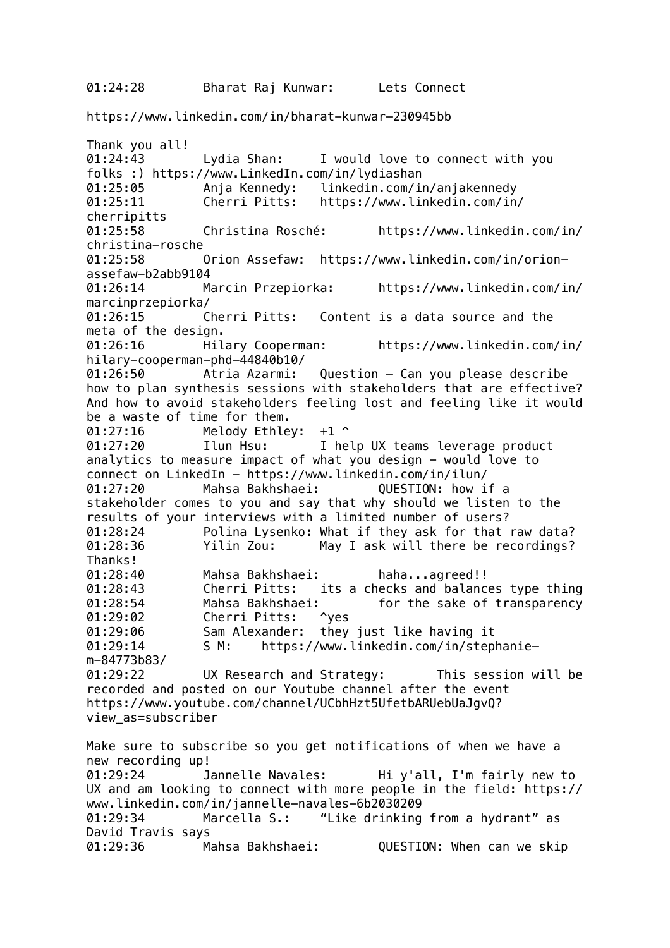## https://www.linkedin.com/in/bharat-kunwar-230945bb

Thank you all! 01:24:43 Lydia Shan: I would love to connect with you folks :) https://www.LinkedIn.com/in/lydiashan 01:25:05 Anja Kennedy: linkedin.com/in/anjakennedy 01:25:11 Cherri Pitts: https://www.linkedin.com/in/ cherripitts 01:25:58 Christina Rosché: https://www.linkedin.com/in/ christina-rosche 01:25:58 Orion Assefaw: https://www.linkedin.com/in/orionassefaw-b2abb9104 01:26:14 Marcin Przepiorka: https://www.linkedin.com/in/ marcinprzepiorka/ 01:26:15 Cherri Pitts: Content is a data source and the meta of the design.<br>01:26:16 Hil Hilary Cooperman: https://www.linkedin.com/in/ hilary-cooperman-phd-44840b10/ 01:26:50 Atria Azarmi: Question - Can you please describe how to plan synthesis sessions with stakeholders that are effective? And how to avoid stakeholders feeling lost and feeling like it would be a waste of time for them. 01:27:16 Melody Ethley: +1 ^ 01:27:20 Ilun Hsu: I help UX teams leverage product analytics to measure impact of what you design - would love to connect on LinkedIn - https://www.linkedin.com/in/ilun/ 01:27:20 Mahsa Bakhshaei: QUESTION: how if a stakeholder comes to you and say that why should we listen to the results of your interviews with a limited number of users? 01:28:24 Polina Lysenko: What if they ask for that raw data? 01:28:36 Yilin Zou: May I ask will there be recordings? Thanks! 01:28:40 Mahsa Bakhshaei: haha...agreed!! 01:28:43 Cherri Pitts: its a checks and balances type thing 01:28:54 Mahsa Bakhshaei: for the sake of transparency 01:29:02 Cherri Pitts: ^yes 01:29:06 Sam Alexander: they just like having it 01:29:14 S M: https://www.linkedin.com/in/stephaniem-84773b83/ 01:29:22 UX Research and Strategy: This session will be recorded and posted on our Youtube channel after the event https://www.youtube.com/channel/UCbhHzt5UfetbARUebUaJgvQ? view\_as=subscriber Make sure to subscribe so you get notifications of when we have a new recording up! 01:29:24 Jannelle Navales: Hi y'all, I'm fairly new to UX and am looking to connect with more people in the field: https:// www.linkedin.com/in/jannelle-navales-6b2030209 01:29:34 Marcella S.: "Like drinking from a hydrant" as David Travis says 01:29:36 Mahsa Bakhshaei: QUESTION: When can we skip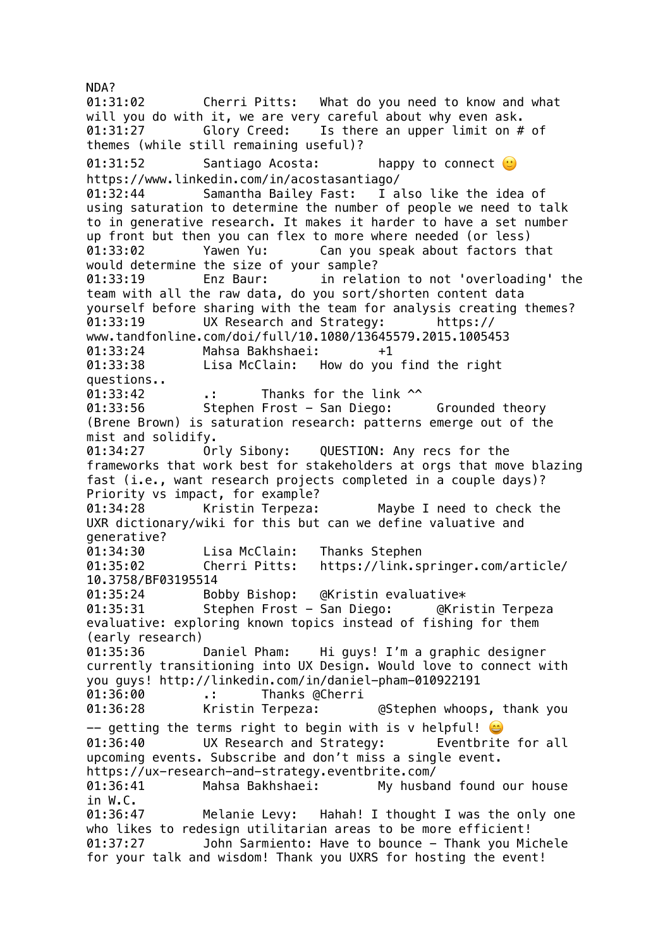NDA? 01:31:02 Cherri Pitts: What do you need to know and what will you do with it, we are very careful about why even ask. 01:31:27 Glory Creed: Is there an upper limit on # of themes (while still remaining useful)? 01:31:52 Santiago Acosta: happy to connect  $\mathbb{C}$ https://www.linkedin.com/in/acostasantiago/ 01:32:44 Samantha Bailey Fast: I also like the idea of using saturation to determine the number of people we need to talk to in generative research. It makes it harder to have a set number up front but then you can flex to more where needed (or less) 01:33:02 Yawen Yu: Can you speak about factors that would determine the size of your sample? 01:33:19 Enz Baur: in relation to not 'overloading' the team with all the raw data, do you sort/shorten content data yourself before sharing with the team for analysis creating themes? 01:33:19 UX Research and Strategy: https:// www.tandfonline.com/doi/full/10.1080/13645579.2015.1005453 01:33:24 Mahsa Bakhshaei: +1 01:33:38 Lisa McClain: How do you find the right questions.. 01:33:42 .: Thanks for the link ^^ 01:33:56 Stephen Frost - San Diego: Grounded theory (Brene Brown) is saturation research: patterns emerge out of the mist and solidify. 01:34:27 Orly Sibony: QUESTION: Any recs for the frameworks that work best for stakeholders at orgs that move blazing fast (i.e., want research projects completed in a couple days)? Priority vs impact, for example? 01:34:28 Kristin Terpeza: Maybe I need to check the UXR dictionary/wiki for this but can we define valuative and generative? 01:34:30 Lisa McClain: Thanks Stephen 01:35:02 Cherri Pitts: https://link.springer.com/article/ 10.3758/BF03195514 01:35:24 Bobby Bishop: @Kristin evaluative\* 01:35:31 Stephen Frost - San Diego: @Kristin Terpeza evaluative: exploring known topics instead of fishing for them (early research)<br>01:35:36 Daniel Pham: 01:35:36 Daniel Pham: Hi guys! I'm a graphic designer currently transitioning into UX Design. Would love to connect with you guys! http://linkedin.com/in/daniel-pham-010922191 01:36:00 .: Thanks @Cherri 01:36:28 Kristin Terpeza: @Stephen whoops, thank you  $-$  getting the terms right to begin with is v helpful! 01:36:40 UX Research and Strategy: Eventbrite for all upcoming events. Subscribe and don't miss a single event. https://ux-research-and-strategy.eventbrite.com/ 01:36:41 Mahsa Bakhshaei: My husband found our house in W.C. 01:36:47 Melanie Levy: Hahah! I thought I was the only one who likes to redesign utilitarian areas to be more efficient! 01:37:27 John Sarmiento: Have to bounce - Thank you Michele for your talk and wisdom! Thank you UXRS for hosting the event!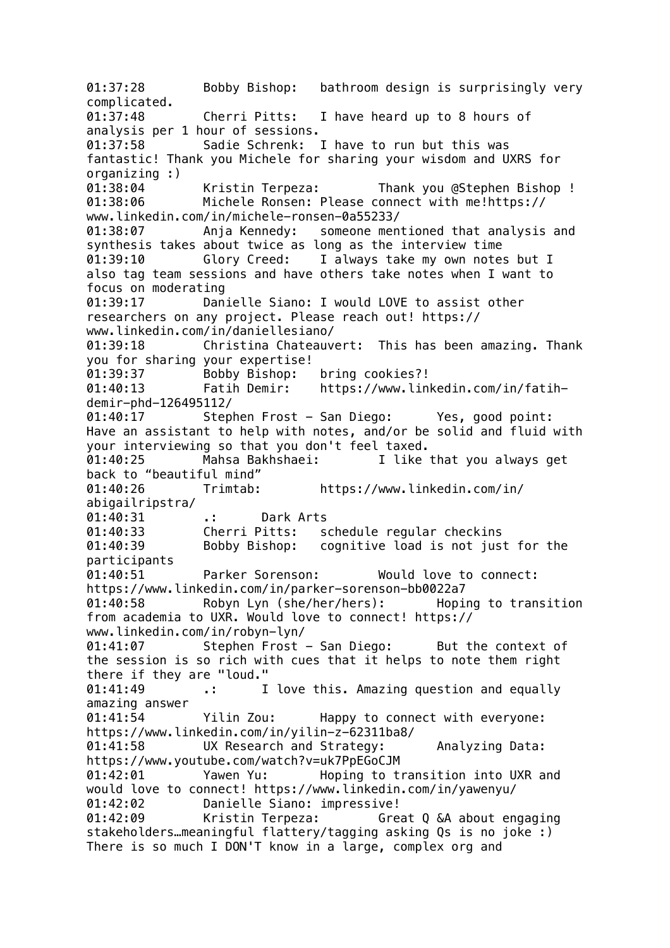01:37:28 Bobby Bishop: bathroom design is surprisingly very complicated. 01:37:48 Cherri Pitts: I have heard up to 8 hours of analysis per 1 hour of sessions. 01:37:58 Sadie Schrenk: I have to run but this was fantastic! Thank you Michele for sharing your wisdom and UXRS for organizing :) 01:38:04 Kristin Terpeza: Thank you @Stephen Bishop ! 01:38:06 Michele Ronsen: Please connect with me!https:// www.linkedin.com/in/michele-ronsen-0a55233/ 01:38:07 Anja Kennedy: someone mentioned that analysis and synthesis takes about twice as long as the interview time 01:39:10 Glory Creed: I always take my own notes but I also tag team sessions and have others take notes when I want to focus on moderating 01:39:17 Danielle Siano: I would LOVE to assist other researchers on any project. Please reach out! https:// www.linkedin.com/in/daniellesiano/ 01:39:18 Christina Chateauvert: This has been amazing. Thank you for sharing your expertise! 01:39:37 Bobby Bishop: bring cookies?! 01:40:13 Fatih Demir: https://www.linkedin.com/in/fatihdemir-phd-126495112/ 01:40:17 Stephen Frost - San Diego: Yes, good point: Have an assistant to help with notes, and/or be solid and fluid with your interviewing so that you don't feel taxed. 01:40:25 Mahsa Bakhshaei: I like that you always get back to "beautiful mind" 01:40:26 Trimtab: https://www.linkedin.com/in/ abigailripstra/ 01:40:31 .: Dark Arts 01:40:33 Cherri Pitts: schedule regular checkins 01:40:39 Bobby Bishop: cognitive load is not just for the participants 01:40:51 Parker Sorenson: Would love to connect: https://www.linkedin.com/in/parker-sorenson-bb0022a7 01:40:58 Robyn Lyn (she/her/hers): Hoping to transition from academia to UXR. Would love to connect! https:// www.linkedin.com/in/robyn-lyn/ 01:41:07 Stephen Frost - San Diego: But the context of the session is so rich with cues that it helps to note them right there if they are "loud." 01:41:49 .: I love this. Amazing question and equally amazing answer 01:41:54 Yilin Zou: Happy to connect with everyone: https://www.linkedin.com/in/yilin-z-62311ba8/ 01:41:58 UX Research and Strategy: Analyzing Data: https://www.youtube.com/watch?v=uk7PpEGoCJM 01:42:01 Yawen Yu: Hoping to transition into UXR and would love to connect! https://www.linkedin.com/in/yawenyu/ 01:42:02 Danielle Siano: impressive! 01:42:09 Kristin Terpeza: Great Q &A about engaging stakeholders…meaningful flattery/tagging asking Qs is no joke :) There is so much I DON'T know in a large, complex org and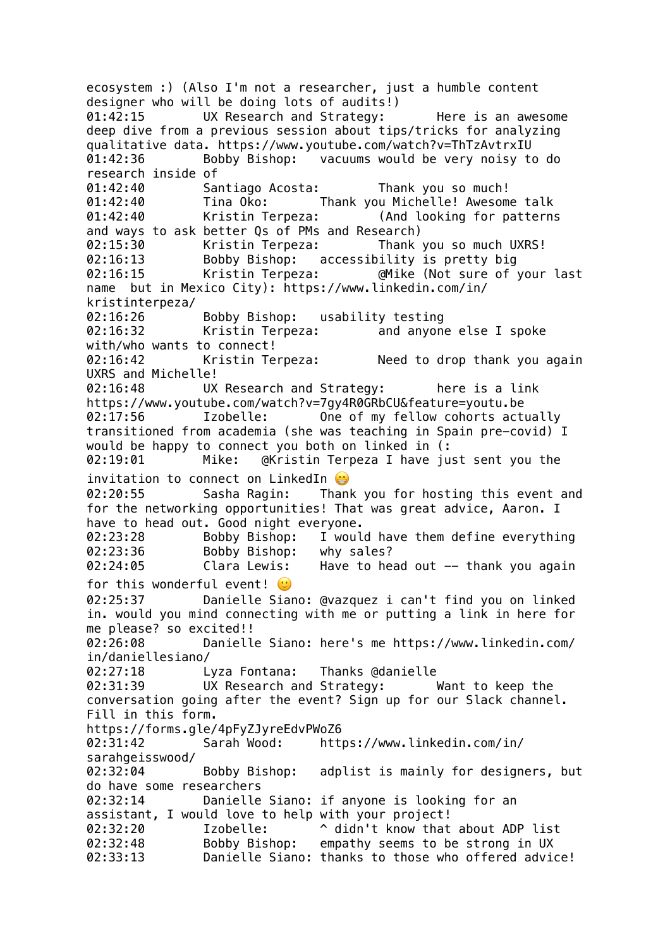ecosystem :) (Also I'm not a researcher, just a humble content designer who will be doing lots of audits!) 01:42:15 UX Research and Strategy: Here is an awesome deep dive from a previous session about tips/tricks for analyzing qualitative data. https://www.youtube.com/watch?v=ThTzAvtrxIU 01:42:36 Bobby Bishop: vacuums would be very noisy to do research inside of 01:42:40 Santiago Acosta: Thank you so much! 01:42:40 Tina Oko: Thank you Michelle! Awesome talk 01:42:40 Kristin Terpeza: (And looking for patterns and ways to ask better Qs of PMs and Research) 02:15:30 Kristin Terpeza: Thank you so much UXRS! 02:16:13 Bobby Bishop: accessibility is pretty big 02:16:15 Kristin Terpeza: @Mike (Not sure of your last name but in Mexico City): https://www.linkedin.com/in/ kristinterpeza/ 02:16:26 Bobby Bishop: usability testing<br>02:16:32 Kristin Terpeza: and anyone 02:16:32 Kristin Terpeza: and anyone else I spoke with/who wants to connect! 02:16:42 Kristin Terpeza: Need to drop thank you again UXRS and Michelle! 02:16:48 UX Research and Strategy: here is a link https://www.youtube.com/watch?v=7gy4R0GRbCU&feature=youtu.be 02:17:56 Izobelle: One of my fellow cohorts actually transitioned from academia (she was teaching in Spain pre-covid) I would be happy to connect you both on linked in (: 02:19:01 Mike: @Kristin Terpeza I have just sent you the invitation to connect on LinkedIn @ 02:20:55 Sasha Ragin: Thank you for hosting this event and for the networking opportunities! That was great advice, Aaron. I have to head out. Good night everyone. 02:23:28 Bobby Bishop: I would have them define everything 02:23:36 Bobby Bishop: why sales? 02:24:05 Clara Lewis: Have to head out -- thank you again for this wonderful event!  $\mathbf{C}$ 02:25:37 Danielle Siano: @vazquez i can't find you on linked in. would you mind connecting with me or putting a link in here for me please? so excited!! 02:26:08 Danielle Siano: here's me https://www.linkedin.com/ in/daniellesiano/ 02:27:18 Lyza Fontana: Thanks @danielle 02:31:39 UX Research and Strategy: Want to keep the conversation going after the event? Sign up for our Slack channel. Fill in this form. https://forms.gle/4pFyZJyreEdvPWoZ6 02:31:42 Sarah Wood: https://www.linkedin.com/in/ sarahgeisswood/ 02:32:04 Bobby Bishop: adplist is mainly for designers, but do have some researchers 02:32:14 Danielle Siano: if anyone is looking for an assistant, I would love to help with your project! 02:32:20 Izobelle: ^ didn't know that about ADP list 02:32:48 Bobby Bishop: empathy seems to be strong in UX 02:33:13 Danielle Siano: thanks to those who offered advice!